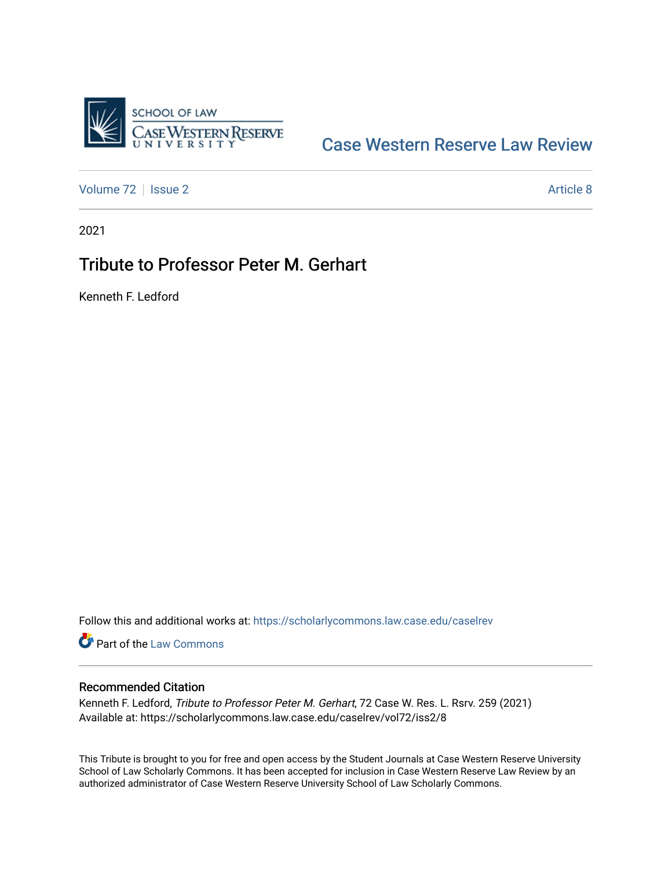

## [Case Western Reserve Law Review](https://scholarlycommons.law.case.edu/caselrev)

[Volume 72](https://scholarlycommons.law.case.edu/caselrev/vol72) | [Issue 2](https://scholarlycommons.law.case.edu/caselrev/vol72/iss2) Article 8

2021

## Tribute to Professor Peter M. Gerhart

Kenneth F. Ledford

Follow this and additional works at: [https://scholarlycommons.law.case.edu/caselrev](https://scholarlycommons.law.case.edu/caselrev?utm_source=scholarlycommons.law.case.edu%2Fcaselrev%2Fvol72%2Fiss2%2F8&utm_medium=PDF&utm_campaign=PDFCoverPages)

**Part of the [Law Commons](https://network.bepress.com/hgg/discipline/578?utm_source=scholarlycommons.law.case.edu%2Fcaselrev%2Fvol72%2Fiss2%2F8&utm_medium=PDF&utm_campaign=PDFCoverPages)** 

## Recommended Citation

Kenneth F. Ledford, Tribute to Professor Peter M. Gerhart, 72 Case W. Res. L. Rsrv. 259 (2021) Available at: https://scholarlycommons.law.case.edu/caselrev/vol72/iss2/8

This Tribute is brought to you for free and open access by the Student Journals at Case Western Reserve University School of Law Scholarly Commons. It has been accepted for inclusion in Case Western Reserve Law Review by an authorized administrator of Case Western Reserve University School of Law Scholarly Commons.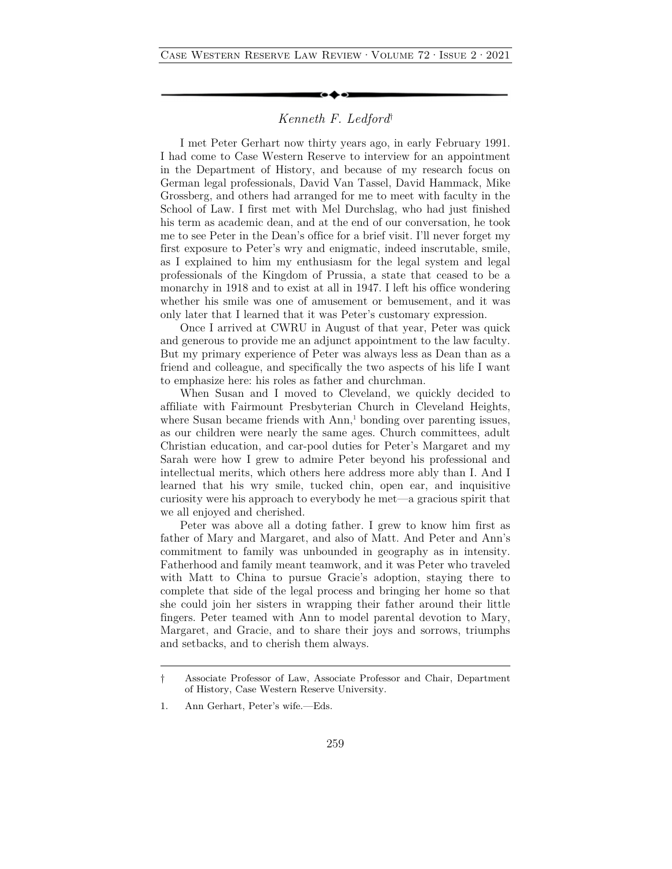## *Kenneth F. Ledford*†

I met Peter Gerhart now thirty years ago, in early February 1991. I had come to Case Western Reserve to interview for an appointment in the Department of History, and because of my research focus on German legal professionals, David Van Tassel, David Hammack, Mike Grossberg, and others had arranged for me to meet with faculty in the School of Law. I first met with Mel Durchslag, who had just finished his term as academic dean, and at the end of our conversation, he took me to see Peter in the Dean's office for a brief visit. I'll never forget my first exposure to Peter's wry and enigmatic, indeed inscrutable, smile, as I explained to him my enthusiasm for the legal system and legal professionals of the Kingdom of Prussia, a state that ceased to be a monarchy in 1918 and to exist at all in 1947. I left his office wondering whether his smile was one of amusement or bemusement, and it was only later that I learned that it was Peter's customary expression.

Once I arrived at CWRU in August of that year, Peter was quick and generous to provide me an adjunct appointment to the law faculty. But my primary experience of Peter was always less as Dean than as a friend and colleague, and specifically the two aspects of his life I want to emphasize here: his roles as father and churchman.

When Susan and I moved to Cleveland, we quickly decided to affiliate with Fairmount Presbyterian Church in Cleveland Heights, where Susan became friends with Ann,<sup>1</sup> bonding over parenting issues, as our children were nearly the same ages. Church committees, adult Christian education, and car-pool duties for Peter's Margaret and my Sarah were how I grew to admire Peter beyond his professional and intellectual merits, which others here address more ably than I. And I learned that his wry smile, tucked chin, open ear, and inquisitive curiosity were his approach to everybody he met—a gracious spirit that we all enjoyed and cherished.

Peter was above all a doting father. I grew to know him first as father of Mary and Margaret, and also of Matt. And Peter and Ann's commitment to family was unbounded in geography as in intensity. Fatherhood and family meant teamwork, and it was Peter who traveled with Matt to China to pursue Gracie's adoption, staying there to complete that side of the legal process and bringing her home so that she could join her sisters in wrapping their father around their little fingers. Peter teamed with Ann to model parental devotion to Mary, Margaret, and Gracie, and to share their joys and sorrows, triumphs and setbacks, and to cherish them always.

<sup>†</sup> Associate Professor of Law, Associate Professor and Chair, Department of History, Case Western Reserve University.

<sup>1.</sup> Ann Gerhart, Peter's wife.—Eds.